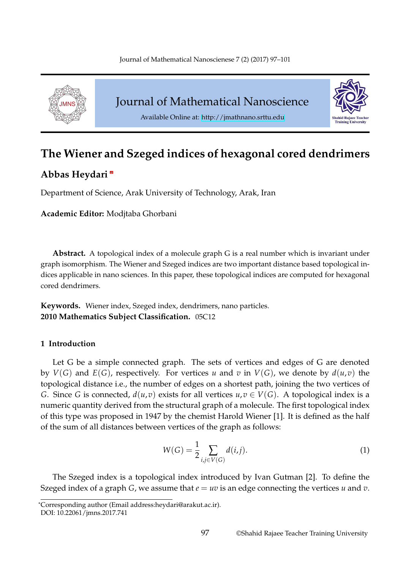

Journal of Mathematical Nanoscience



Available Online at: http://jmathnano.srttu.edu

# **The Wiener and Szeged indice[s of hexagonal co](http://jmathnano.srttu.edu)red dendrimers**

# **Abbas Heydari** \*

Department of Science, Arak University of Technology, Arak, Iran

**Academic Editor:** Modjtaba Ghorbani

**Abstract.** A topological index of a molecule graph G is a real number which is invariant under graph isomorphism. The Wiener and Szeged indices are two important distance based topological indices applicable in nano sciences. In this paper, these topological indices are computed for hexagonal cored dendrimers.

**Keywords.** Wiener index, Szeged index, dendrimers, nano particles. **2010 Mathematics Subject Classification.** 05C12

## **1 Introduction**

Let G be a simple connected graph. The sets of vertices and edges of G are denoted by  $V(G)$  and  $E(G)$ , respectively. For vertices *u* and *v* in  $V(G)$ , we denote by  $d(u,v)$  the topological distance i.e., the number of edges on a shortest path, joining the two vertices of *G*. Since *G* is connected,  $d(u,v)$  exists for all vertices  $u,v \in V(G)$ . A topological index is a numeric quantity derived from the structural graph of a molecule. The first topological index of this type was proposed in 1947 by the chemist Harold Wiener [1]. It is defined as the half of the sum of all distances between vertices of the graph as follows:

$$
W(G) = \frac{1}{2} \sum_{i,j \in V(G)} d(i,j).
$$
 (1)

The Szeged index is a topological index introduced by Ivan Gutman [2]. To define the Szeged index of a graph *G*, we assume that *e* = *uv* is an edge connecting the vertices *u* and *v*.

<sup>\*</sup>Corresponding author (Email address:heydari@arakut.ac.ir).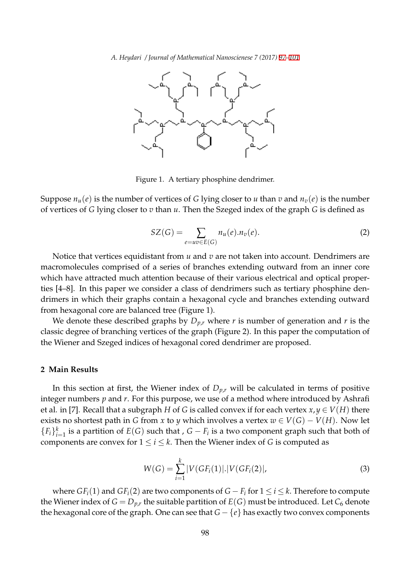

Figure 1. A tertiary phosphine dendrimer.

Suppose  $n_u(e)$  is the number of vertices of *G* lying closer to *u* than *v* and  $n_v(e)$  is the number of vertices of *G* lying closer to *v* than *u*. Then the Szeged index of the graph *G* is defined as

$$
SZ(G) = \sum_{e=uv \in E(G)} n_u(e).n_v(e).
$$
 (2)

Notice that vertices equidistant from *u* and *v* are not taken into account. Dendrimers are macromolecules comprised of a series of branches extending outward from an inner core which have attracted much attention because of their various electrical and optical properties [4–8]. In this paper we consider a class of dendrimers such as tertiary phosphine dendrimers in which their graphs contain a hexagonal cycle and branches extending outward from hexagonal core are balanced tree (Figure 1).

We denote these described graphs by *Dp*,*<sup>r</sup>* where *r* is number of generation and *r* is the classic degree of branching vertices of the graph (Figure 2). In this paper the computation of the Wiener and Szeged indices of hexagonal cored dendrimer are proposed.

#### **2 Main Results**

In this section at first, the Wiener index of  $D_{p,r}$  will be calculated in terms of positive integer numbers *p* and *r*. For this purpose, we use of a method where introduced by Ashrafi et al. in [7]. Recall that a subgraph *H* of *G* is called convex if for each vertex  $x, y \in V(H)$  there exists no shortest path in *G* from *x* to *y* which involves a vertex  $w \in V(G) - V(H)$ . Now let  ${F_i}_{i=1}^k$  is a partition of *E*(*G*) such that , *G − F*<sub>*i*</sub> is a two component graph such that both of components are convex for  $1 \le i \le k$ . Then the Wiener index of *G* is computed as

$$
W(G) = \sum_{i=1}^{k} |V(GF_i(1)|)|V(GF_i(2)|),
$$
\n(3)

where *GFi*(1) and *GFi*(2) are two components of *G − F<sup>i</sup>* for 1 *≤ i ≤ k*. Therefore to compute the Wiener index of  $G = D_{p,r}$  the suitable partition of  $E(G)$  must be introduced. Let  $C_6$  denote the hexagonal core of the graph. One can see that *G − {e}* has exactly two convex components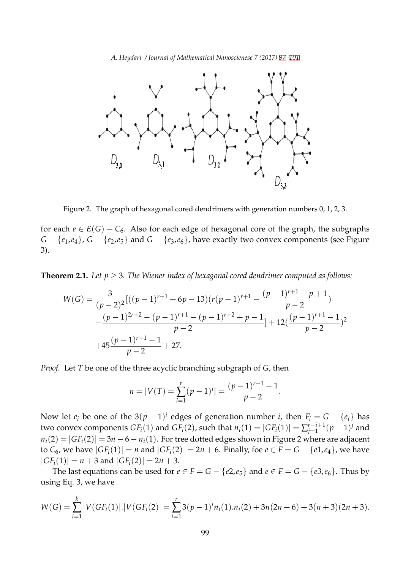

Figure 2. The graph of hexagonal cored dendrimers with generation numbers 0, 1, 2, 3.

for each  $e \in E(G) - C_6$ . Also for each edge of hexagonal core of the graph, the subgraphs *G − {e*1,*e*4*}*, *G − {e*2,*e*5*}* and *G − {e*3,*e*6*}*, have exactly two convex components (see Figure 3).

**Theorem 2.1.** Let  $p \geq 3$ . The Wiener index of hexagonal cored dendrimer computed as follows:

$$
W(G) = \frac{3}{(p-2)^2} [((p-1)^{r+1} + 6p - 13)(r(p-1)^{r+1} - \frac{(p-1)^{r+1} - p + 1}{p-2})
$$
  
 
$$
-\frac{(p-1)^{2r+2} - (p-1)^{r+1} - (p-1)^{r+2} + p - 1}{p-2} + 12(\frac{(p-1)^{r+1} - 1}{p-2})^2
$$
  
 
$$
+45\frac{(p-1)^{r+1} - 1}{p-2} + 27.
$$

*Proof.* Let *T* be one of the three acyclic branching subgraph of *G*, then

$$
n = |V(T) = \sum_{i=1}^{r} (p-1)^{i}| = \frac{(p-1)^{r+1}-1}{p-2}.
$$

Now let  $e_i$  be one of the 3 $(p-1)^i$  edges of generation number *i*, then  $F_i = G - \{e_i\}$  has  $\text{two convex components } GF_i(1)$  and  $GF_i(2)$ , such that  $n_i(1) = |GF_i(1)| = \sum_{i=1}^{r-i+1}$ *j*=1 (*p −* 1) *<sup>j</sup>* and  $n_i(2) = |GF_i(2)| = 3n - 6 - n_i(1)$ . For tree dotted edges shown in Figure 2 where are adjacent to  $C_6$ , we have  $|GF_i(1)| = n$  and  $|GF_i(2)| = 2n + 6$ . Finally, foe  $e \in F = G - \{e1, e_4\}$ , we have  $|GF_i(1)| = n + 3$  and  $|GF_i(2)| = 2n + 3$ .

The last equations can be used for  $e \in F = G - \{e2,e_5\}$  and  $e \in F = G - \{e3,e_6\}$ . Thus by using Eq. 3, we have

$$
W(G) = \sum_{i=1}^{k} |V(GF_i(1))| \cdot |V(GF_i(2))| = \sum_{i=1}^{r} 3(p-1)^{i} n_i(1) \cdot n_i(2) + 3n(2n+6) + 3(n+3)(2n+3).
$$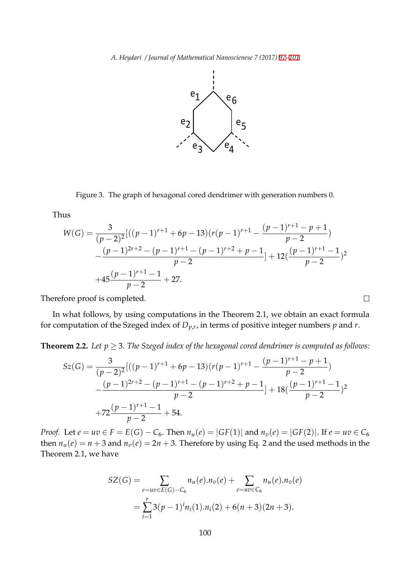

Figure 3. The graph of hexagonal cored dendrimer with generation numbers 0.

Thus

$$
W(G) = \frac{3}{(p-2)^2} [((p-1)^{r+1} + 6p - 13)(r(p-1)^{r+1} - \frac{(p-1)^{r+1} - p + 1}{p-2})
$$
  
 
$$
-\frac{(p-1)^{2r+2} - (p-1)^{r+1} - (p-1)^{r+2} + p - 1}{p-2} + 12(\frac{(p-1)^{r+1} - 1}{p-2})^2
$$
  
 
$$
+45\frac{(p-1)^{r+1} - 1}{p-2} + 27.
$$

Therefore proof is completed.

In what follows, by using computations in the Theorem 2.1, we obtain an exact formula for computation of the Szeged index of *Dp*,*<sup>r</sup>* , in terms of positive integer numbers *p* and *r*.

 $\Box$ 

**Theorem 2.2.** *Let*  $p \geq 3$ *. The Szeged index of the hexagonal cored dendrimer is computed as follows:* 

$$
Sz(G) = \frac{3}{(p-2)^2} [((p-1)^{r+1} + 6p - 13)(r(p-1)^{r+1} - \frac{(p-1)^{r+1} - p + 1}{p-2})
$$
  
 
$$
-\frac{(p-1)^{2r+2} - (p-1)^{r+1} - (p-1)^{r+2} + p - 1}{p-2} + 18(\frac{(p-1)^{r+1} - 1}{p-2})^2
$$
  
 
$$
+72\frac{(p-1)^{r+1} - 1}{p-2} + 54.
$$

*Proof.* Let  $e = uv \in F = E(G) - C_6$ . Then  $n_u(e) = |GF(1)|$  and  $n_v(e) = |GF(2)|$ . If  $e = uv \in C_6$ then  $n_u(e) = n + 3$  and  $n_v(e) = 2n + 3$ . Therefore by using Eq. 2 and the used methods in the Theorem 2.1, we have

$$
SZ(G) = \sum_{e=uv \in E(G)-C_6} n_u(e).n_v(e) + \sum_{e=uv \in C_6} n_u(e).n_v(e)
$$

$$
= \sum_{i=1}^r 3(p-1)^i n_i(1).n_i(2) + 6(n+3)(2n+3).
$$